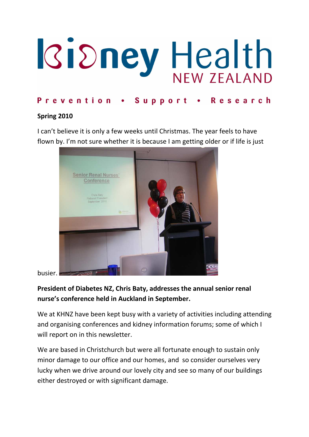# **IGidney Health**

# Prevention . Support . Research

#### Spring 2010

I can't believe it is only a few weeks until Christmas. The year feels to have flown by. I'm not sure whether it is because I am getting older or if life is just



busier.

# President of Diabetes NZ, Chris Baty, addresses the annual senior renal nurse's conference held in Auckland in September.

We at KHNZ have been kept busy with a variety of activities including attending and organising conferences and kidney information forums; some of which I will report on in this newsletter.

We are based in Christchurch but were all fortunate enough to sustain only minor damage to our office and our homes, and so consider ourselves very lucky when we drive around our lovely city and see so many of our buildings either destroyed or with significant damage.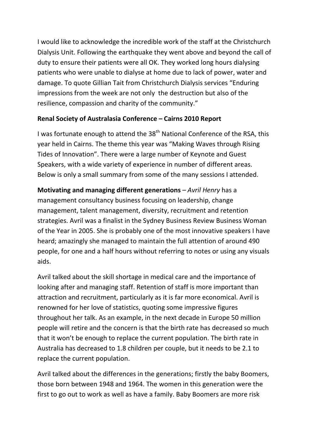I would like to acknowledge the incredible work of the staff at the Christchurch Dialysis Unit. Following the earthquake they went above and beyond the call of duty to ensure their patients were all OK. They worked long hours dialysing patients who were unable to dialyse at home due to lack of power, water and damage. To quote Gillian Tait from Christchurch Dialysis services "Enduring impressions from the week are not only the destruction but also of the resilience, compassion and charity of the community."

## Renal Society of Australasia Conference – Cairns 2010 Report

I was fortunate enough to attend the 38<sup>th</sup> National Conference of the RSA, this year held in Cairns. The theme this year was "Making Waves through Rising Tides of Innovation". There were a large number of Keynote and Guest Speakers, with a wide variety of experience in number of different areas. Below is only a small summary from some of the many sessions I attended.

Motivating and managing different generations – Avril Henry has a management consultancy business focusing on leadership, change management, talent management, diversity, recruitment and retention strategies. Avril was a finalist in the Sydney Business Review Business Woman of the Year in 2005. She is probably one of the most innovative speakers I have heard; amazingly she managed to maintain the full attention of around 490 people, for one and a half hours without referring to notes or using any visuals aids.

Avril talked about the skill shortage in medical care and the importance of looking after and managing staff. Retention of staff is more important than attraction and recruitment, particularly as it is far more economical. Avril is renowned for her love of statistics, quoting some impressive figures throughout her talk. As an example, in the next decade in Europe 50 million people will retire and the concern is that the birth rate has decreased so much that it won't be enough to replace the current population. The birth rate in Australia has decreased to 1.8 children per couple, but it needs to be 2.1 to replace the current population.

Avril talked about the differences in the generations; firstly the baby Boomers, those born between 1948 and 1964. The women in this generation were the first to go out to work as well as have a family. Baby Boomers are more risk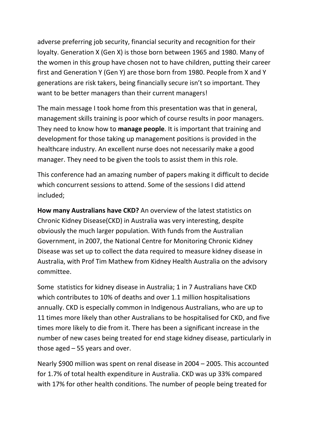adverse preferring job security, financial security and recognition for their loyalty. Generation X (Gen X) is those born between 1965 and 1980. Many of the women in this group have chosen not to have children, putting their career first and Generation Y (Gen Y) are those born from 1980. People from X and Y generations are risk takers, being financially secure isn't so important. They want to be better managers than their current managers!

The main message I took home from this presentation was that in general, management skills training is poor which of course results in poor managers. They need to know how to **manage people**. It is important that training and development for those taking up management positions is provided in the healthcare industry. An excellent nurse does not necessarily make a good manager. They need to be given the tools to assist them in this role.

This conference had an amazing number of papers making it difficult to decide which concurrent sessions to attend. Some of the sessions I did attend included;

How many Australians have CKD? An overview of the latest statistics on Chronic Kidney Disease(CKD) in Australia was very interesting, despite obviously the much larger population. With funds from the Australian Government, in 2007, the National Centre for Monitoring Chronic Kidney Disease was set up to collect the data required to measure kidney disease in Australia, with Prof Tim Mathew from Kidney Health Australia on the advisory committee.

Some statistics for kidney disease in Australia; 1 in 7 Australians have CKD which contributes to 10% of deaths and over 1.1 million hospitalisations annually. CKD is especially common in Indigenous Australians, who are up to 11 times more likely than other Australians to be hospitalised for CKD, and five times more likely to die from it. There has been a significant increase in the number of new cases being treated for end stage kidney disease, particularly in those aged – 55 years and over.

Nearly \$900 million was spent on renal disease in 2004 – 2005. This accounted for 1.7% of total health expenditure in Australia. CKD was up 33% compared with 17% for other health conditions. The number of people being treated for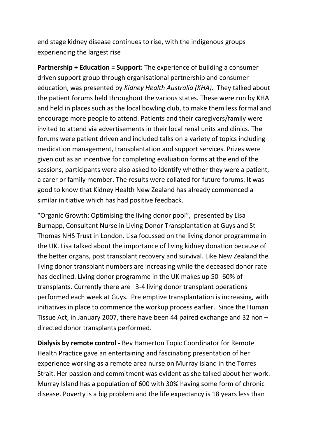end stage kidney disease continues to rise, with the indigenous groups experiencing the largest rise

Partnership + Education = Support: The experience of building a consumer driven support group through organisational partnership and consumer education, was presented by Kidney Health Australia (KHA). They talked about the patient forums held throughout the various states. These were run by KHA and held in places such as the local bowling club, to make them less formal and encourage more people to attend. Patients and their caregivers/family were invited to attend via advertisements in their local renal units and clinics. The forums were patient driven and included talks on a variety of topics including medication management, transplantation and support services. Prizes were given out as an incentive for completing evaluation forms at the end of the sessions, participants were also asked to identify whether they were a patient, a carer or family member. The results were collated for future forums. It was good to know that Kidney Health New Zealand has already commenced a similar initiative which has had positive feedback.

"Organic Growth: Optimising the living donor pool", presented by Lisa Burnapp, Consultant Nurse in Living Donor Transplantation at Guys and St Thomas NHS Trust in London. Lisa focussed on the living donor programme in the UK. Lisa talked about the importance of living kidney donation because of the better organs, post transplant recovery and survival. Like New Zealand the living donor transplant numbers are increasing while the deceased donor rate has declined. Living donor programme in the UK makes up 50 -60% of transplants. Currently there are 3-4 living donor transplant operations performed each week at Guys. Pre emptive transplantation is increasing, with initiatives in place to commence the workup process earlier. Since the Human Tissue Act, in January 2007, there have been 44 paired exchange and 32 non – directed donor transplants performed.

Dialysis by remote control - Bev Hamerton Topic Coordinator for Remote Health Practice gave an entertaining and fascinating presentation of her experience working as a remote area nurse on Murray Island in the Torres Strait. Her passion and commitment was evident as she talked about her work. Murray Island has a population of 600 with 30% having some form of chronic disease. Poverty is a big problem and the life expectancy is 18 years less than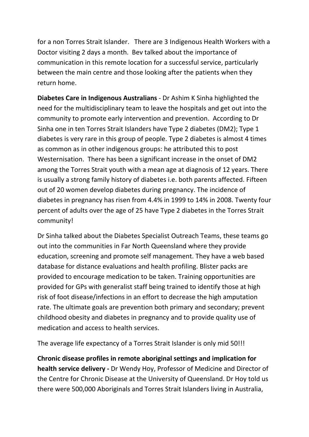for a non Torres Strait Islander. There are 3 Indigenous Health Workers with a Doctor visiting 2 days a month. Bev talked about the importance of communication in this remote location for a successful service, particularly between the main centre and those looking after the patients when they return home.

Diabetes Care in Indigenous Australians - Dr Ashim K Sinha highlighted the need for the multidisciplinary team to leave the hospitals and get out into the community to promote early intervention and prevention. According to Dr Sinha one in ten Torres Strait Islanders have Type 2 diabetes (DM2); Type 1 diabetes is very rare in this group of people. Type 2 diabetes is almost 4 times as common as in other indigenous groups: he attributed this to post Westernisation. There has been a significant increase in the onset of DM2 among the Torres Strait youth with a mean age at diagnosis of 12 years. There is usually a strong family history of diabetes i.e. both parents affected. Fifteen out of 20 women develop diabetes during pregnancy. The incidence of diabetes in pregnancy has risen from 4.4% in 1999 to 14% in 2008. Twenty four percent of adults over the age of 25 have Type 2 diabetes in the Torres Strait community!

Dr Sinha talked about the Diabetes Specialist Outreach Teams, these teams go out into the communities in Far North Queensland where they provide education, screening and promote self management. They have a web based database for distance evaluations and health profiling. Blister packs are provided to encourage medication to be taken. Training opportunities are provided for GPs with generalist staff being trained to identify those at high risk of foot disease/infections in an effort to decrease the high amputation rate. The ultimate goals are prevention both primary and secondary; prevent childhood obesity and diabetes in pregnancy and to provide quality use of medication and access to health services.

The average life expectancy of a Torres Strait Islander is only mid 50!!!

Chronic disease profiles in remote aboriginal settings and implication for health service delivery - Dr Wendy Hoy, Professor of Medicine and Director of the Centre for Chronic Disease at the University of Queensland. Dr Hoy told us there were 500,000 Aboriginals and Torres Strait Islanders living in Australia,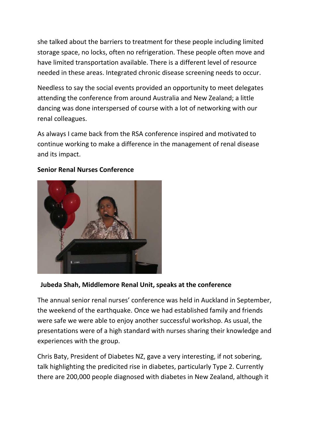she talked about the barriers to treatment for these people including limited storage space, no locks, often no refrigeration. These people often move and have limited transportation available. There is a different level of resource needed in these areas. Integrated chronic disease screening needs to occur.

Needless to say the social events provided an opportunity to meet delegates attending the conference from around Australia and New Zealand; a little dancing was done interspersed of course with a lot of networking with our renal colleagues.

As always I came back from the RSA conference inspired and motivated to continue working to make a difference in the management of renal disease and its impact.



#### Senior Renal Nurses Conference

#### Jubeda Shah, Middlemore Renal Unit, speaks at the conference

The annual senior renal nurses' conference was held in Auckland in September, the weekend of the earthquake. Once we had established family and friends were safe we were able to enjoy another successful workshop. As usual, the presentations were of a high standard with nurses sharing their knowledge and experiences with the group.

Chris Baty, President of Diabetes NZ, gave a very interesting, if not sobering, talk highlighting the predicited rise in diabetes, particularly Type 2. Currently there are 200,000 people diagnosed with diabetes in New Zealand, although it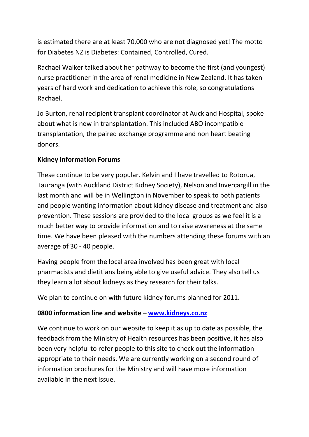is estimated there are at least 70,000 who are not diagnosed yet! The motto for Diabetes NZ is Diabetes: Contained, Controlled, Cured.

Rachael Walker talked about her pathway to become the first (and youngest) nurse practitioner in the area of renal medicine in New Zealand. It has taken years of hard work and dedication to achieve this role, so congratulations Rachael.

Jo Burton, renal recipient transplant coordinator at Auckland Hospital, spoke about what is new in transplantation. This included ABO incompatible transplantation, the paired exchange programme and non heart beating donors.

## Kidney Information Forums

These continue to be very popular. Kelvin and I have travelled to Rotorua, Tauranga (with Auckland District Kidney Society), Nelson and Invercargill in the last month and will be in Wellington in November to speak to both patients and people wanting information about kidney disease and treatment and also prevention. These sessions are provided to the local groups as we feel it is a much better way to provide information and to raise awareness at the same time. We have been pleased with the numbers attending these forums with an average of 30 - 40 people.

Having people from the local area involved has been great with local pharmacists and dietitians being able to give useful advice. They also tell us they learn a lot about kidneys as they research for their talks.

We plan to continue on with future kidney forums planned for 2011.

## 0800 information line and website – www.kidneys.co.nz

We continue to work on our website to keep it as up to date as possible, the feedback from the Ministry of Health resources has been positive, it has also been very helpful to refer people to this site to check out the information appropriate to their needs. We are currently working on a second round of information brochures for the Ministry and will have more information available in the next issue.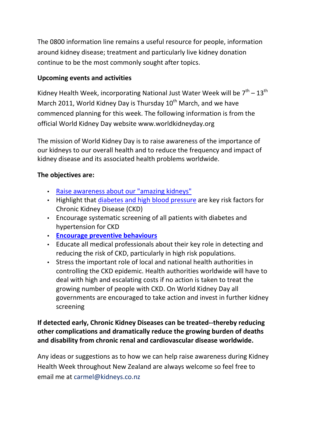The 0800 information line remains a useful resource for people, information around kidney disease; treatment and particularly live kidney donation continue to be the most commonly sought after topics.

### Upcoming events and activities

Kidney Health Week, incorporating National Just Water Week will be  $7<sup>th</sup> - 13<sup>th</sup>$ March 2011, World Kidney Day is Thursday  $10^{th}$  March, and we have commenced planning for this week. The following information is from the official World Kidney Day website www.worldkidneyday.org

The mission of World Kidney Day is to raise awareness of the importance of our kidneys to our overall health and to reduce the frequency and impact of kidney disease and its associated health problems worldwide.

#### The objectives are:

- Raise awareness about our "amazing kidneys"
- Highlight that diabetes and high blood pressure are key risk factors for Chronic Kidney Disease (CKD)
- Encourage systematic screening of all patients with diabetes and hypertension for CKD
- Encourage preventive behaviours
- Educate all medical professionals about their key role in detecting and reducing the risk of CKD, particularly in high risk populations.
- Stress the important role of local and national health authorities in controlling the CKD epidemic. Health authorities worldwide will have to deal with high and escalating costs if no action is taken to treat the growing number of people with CKD. On World Kidney Day all governments are encouraged to take action and invest in further kidney screening

## If detected early, Chronic Kidney Diseases can be treated--thereby reducing other complications and dramatically reduce the growing burden of deaths and disability from chronic renal and cardiovascular disease worldwide.

Any ideas or suggestions as to how we can help raise awareness during Kidney Health Week throughout New Zealand are always welcome so feel free to email me at carmel@kidneys.co.nz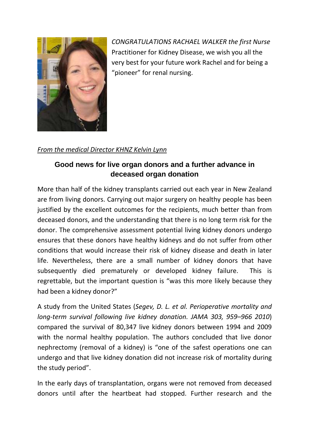

CONGRATULATIONS RACHAEL WALKER the first Nurse Practitioner for Kidney Disease, we wish you all the very best for your future work Rachel and for being a "pioneer" for renal nursing.

From the medical Director KHNZ Kelvin Lynn

# **Good news for live organ donors and a further advance in deceased organ donation**

More than half of the kidney transplants carried out each year in New Zealand are from living donors. Carrying out major surgery on healthy people has been justified by the excellent outcomes for the recipients, much better than from deceased donors, and the understanding that there is no long term risk for the donor. The comprehensive assessment potential living kidney donors undergo ensures that these donors have healthy kidneys and do not suffer from other conditions that would increase their risk of kidney disease and death in later life. Nevertheless, there are a small number of kidney donors that have subsequently died prematurely or developed kidney failure. This is regrettable, but the important question is "was this more likely because they had been a kidney donor?"

A study from the United States (Segev, D. L. et al. Perioperative mortality and long-term survival following live kidney donation. JAMA 303, 959–966 2010) compared the survival of 80,347 live kidney donors between 1994 and 2009 with the normal healthy population. The authors concluded that live donor nephrectomy (removal of a kidney) is "one of the safest operations one can undergo and that live kidney donation did not increase risk of mortality during the study period".

In the early days of transplantation, organs were not removed from deceased donors until after the heartbeat had stopped. Further research and the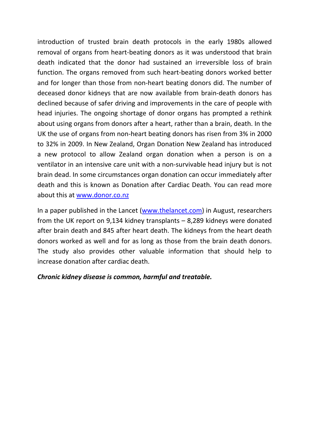introduction of trusted brain death protocols in the early 1980s allowed removal of organs from heart-beating donors as it was understood that brain death indicated that the donor had sustained an irreversible loss of brain function. The organs removed from such heart-beating donors worked better and for longer than those from non-heart beating donors did. The number of deceased donor kidneys that are now available from brain-death donors has declined because of safer driving and improvements in the care of people with head injuries. The ongoing shortage of donor organs has prompted a rethink about using organs from donors after a heart, rather than a brain, death. In the UK the use of organs from non-heart beating donors has risen from 3% in 2000 to 32% in 2009. In New Zealand, Organ Donation New Zealand has introduced a new protocol to allow Zealand organ donation when a person is on a ventilator in an intensive care unit with a non-survivable head injury but is not brain dead. In some circumstances organ donation can occur immediately after death and this is known as Donation after Cardiac Death. You can read more about this at www.donor.co.nz

In a paper published in the Lancet (www.thelancet.com) in August, researchers from the UK report on 9,134 kidney transplants – 8,289 kidneys were donated after brain death and 845 after heart death. The kidneys from the heart death donors worked as well and for as long as those from the brain death donors. The study also provides other valuable information that should help to increase donation after cardiac death.

#### Chronic kidney disease is common, harmful and treatable.